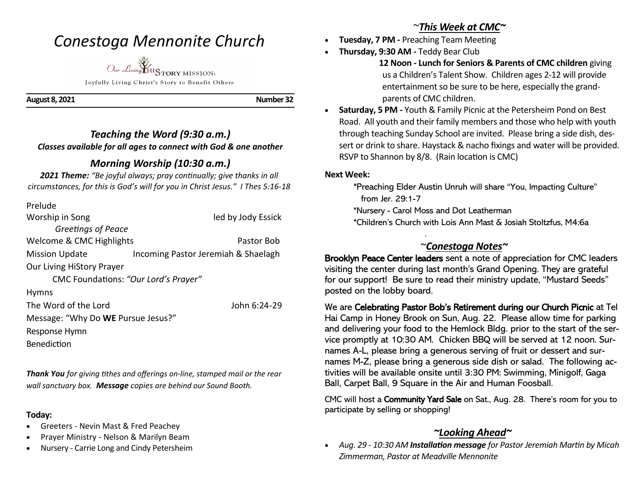## *Conestoga Mennonite Church*



Joyfully Living Christ's Story to Benefit Others

**August 8, 2021 Number 32** 

## *Teaching the Word (9:30 a.m.) Classes available for all ages to connect with God & one another*

## *Morning Worship (10:30 a.m.)*

*2021 Theme: "Be joyful always; pray continually; give thanks in all circumstances, for this is God's will for you in Christ Jesus." I Thes 5:16-18*

| Prelude                              |                                     |
|--------------------------------------|-------------------------------------|
| Worship in Song                      | led by Jody Essick                  |
| Greetings of Peace                   |                                     |
| Welcome & CMC Highlights             | Pastor Bob                          |
| <b>Mission Update</b>                | Incoming Pastor Jeremiah & Shaelagh |
| <b>Our Living HiStory Prayer</b>     |                                     |
| CMC Foundations: "Our Lord's Prayer" |                                     |
| <b>Hymns</b>                         |                                     |
| The Word of the Lord                 | John 6:24-29                        |
| Message: "Why Do WE Pursue Jesus?"   |                                     |
| Response Hymn                        |                                     |
| <b>Benediction</b>                   |                                     |

*Thank You for giving tithes and offerings on-line, stamped mail or the rear wall sanctuary box. Message copies are behind our Sound Booth.*

### **Today:**

- Greeters Nevin Mast & Fred Peachey
- Prayer Ministry Nelson & Marilyn Beam
- Nursery Carrie Long and Cindy Petersheim

## ~*This Week at CMC~*

- **Tuesday, 7 PM -** Preaching Team Meeting
- **Thursday, 9:30 AM -** Teddy Bear Club

 **12 Noon - Lunch for Seniors & Parents of CMC children** giving us a Children's Talent Show. Children ages 2-12 will provide entertainment so be sure to be here, especially the grandparents of CMC children.

• **Saturday, 5 PM -** Youth & Family Picnic at the Petersheim Pond on Best Road. All youth and their family members and those who help with youth through teaching Sunday School are invited. Please bring a side dish, dessert or drink to share. Haystack & nacho fixings and water will be provided. RSVP to Shannon by 8/8. (Rain location is CMC)

### **Next Week:**

 \*Preaching Elder Austin Unruh will share "You, Impacting Culture" from Jer. 29:1-7

\*Nursery - Carol Moss and Dot Leatherman

.

\*Children's Church with Lois Ann Mast & Josiah Stoltzfus, M4:6a

## ~*Conestoga Notes~*

Brooklyn Peace Center leaders sent a note of appreciation for CMC leaders visiting the center during last month's Grand Opening. They are grateful for our support! Be sure to read their ministry update, "Mustard Seeds" posted on the lobby board. ŗ

We are Celebrating Pastor Bob's Retirement during our Church Picnic at Tel Hai Camp in Honey Brook on Sun, Aug. 22. Please allow time for parking and delivering your food to the Hemlock Bldg. prior to the start of the service promptly at 10:30 AM. Chicken BBQ will be served at 12 noon. Surnames A-L, please bring a generous serving of fruit or dessert and surnames M-Z, please bring a generous side dish or salad. The following activities will be available onsite until 3:30 PM: Swimming, Minigolf, Gaga Ball, Carpet Ball, 9 Square in the Air and Human Foosball.

CMC will host a Community Yard Sale on Sat., Aug. 28. There's room for you to participate by selling or shopping! ŗ

## *~Looking Ahead~*

• *Aug. 29 - 10:30 AM Installation message for Pastor Jeremiah Martin by Micah Zimmerman, Pastor at Meadville Mennonite*